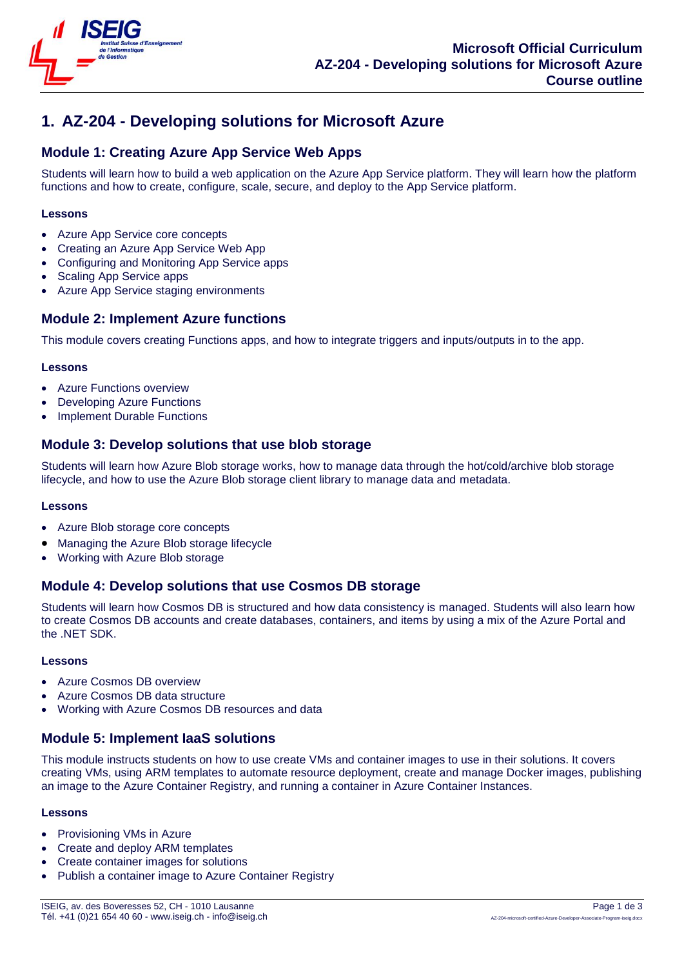

# **1. AZ-204 - Developing solutions for Microsoft Azure**

# **Module 1: Creating Azure App Service Web Apps**

Students will learn how to build a web application on the Azure App Service platform. They will learn how the platform functions and how to create, configure, scale, secure, and deploy to the App Service platform.

### **Lessons**

- Azure App Service core concepts
- Creating an Azure App Service Web App
- Configuring and Monitoring App Service apps
- Scaling App Service apps
- Azure App Service staging environments

### **Module 2: Implement Azure functions**

This module covers creating Functions apps, and how to integrate triggers and inputs/outputs in to the app.

### **Lessons**

- Azure Functions overview
- Developing Azure Functions
- Implement Durable Functions

# **Module 3: Develop solutions that use blob storage**

Students will learn how Azure Blob storage works, how to manage data through the hot/cold/archive blob storage lifecycle, and how to use the Azure Blob storage client library to manage data and metadata.

#### **Lessons**

- Azure Blob storage core concepts
- Managing the Azure Blob storage lifecycle
- Working with Azure Blob storage

# **Module 4: Develop solutions that use Cosmos DB storage**

Students will learn how Cosmos DB is structured and how data consistency is managed. Students will also learn how to create Cosmos DB accounts and create databases, containers, and items by using a mix of the Azure Portal and the .NET SDK.

#### **Lessons**

- Azure Cosmos DB overview
- Azure Cosmos DB data structure
- Working with Azure Cosmos DB resources and data

# **Module 5: Implement IaaS solutions**

This module instructs students on how to use create VMs and container images to use in their solutions. It covers creating VMs, using ARM templates to automate resource deployment, create and manage Docker images, publishing an image to the Azure Container Registry, and running a container in Azure Container Instances.

#### **Lessons**

- Provisioning VMs in Azure
- Create and deploy ARM templates
- Create container images for solutions
- Publish a container image to Azure Container Registry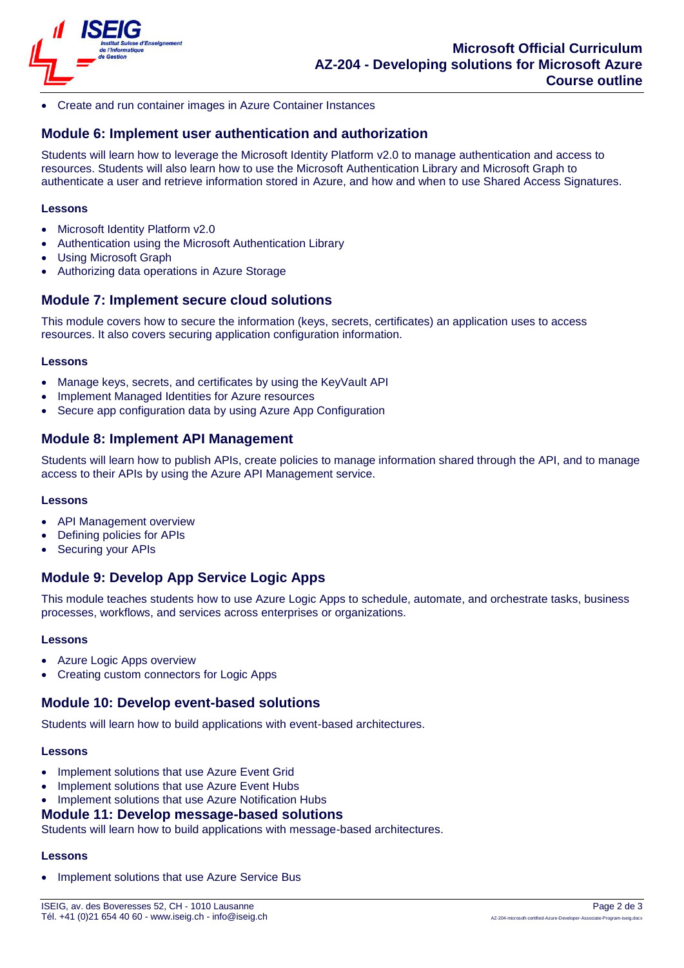

Create and run container images in Azure Container Instances

# **Module 6: Implement user authentication and authorization**

Students will learn how to leverage the Microsoft Identity Platform v2.0 to manage authentication and access to resources. Students will also learn how to use the Microsoft Authentication Library and Microsoft Graph to authenticate a user and retrieve information stored in Azure, and how and when to use Shared Access Signatures.

### **Lessons**

- Microsoft Identity Platform v2.0
- Authentication using the Microsoft Authentication Library
- Using Microsoft Graph
- Authorizing data operations in Azure Storage

# **Module 7: Implement secure cloud solutions**

This module covers how to secure the information (keys, secrets, certificates) an application uses to access resources. It also covers securing application configuration information.

#### **Lessons**

- Manage keys, secrets, and certificates by using the KeyVault API
- Implement Managed Identities for Azure resources
- Secure app configuration data by using Azure App Configuration

# **Module 8: Implement API Management**

Students will learn how to publish APIs, create policies to manage information shared through the API, and to manage access to their APIs by using the Azure API Management service.

#### **Lessons**

- API Management overview
- Defining policies for APIs
- Securing your APIs

# **Module 9: Develop App Service Logic Apps**

This module teaches students how to use Azure Logic Apps to schedule, automate, and orchestrate tasks, business processes, workflows, and services across enterprises or organizations.

#### **Lessons**

- Azure Logic Apps overview
- Creating custom connectors for Logic Apps

### **Module 10: Develop event-based solutions**

Students will learn how to build applications with event-based architectures.

#### **Lessons**

- Implement solutions that use Azure Event Grid
- Implement solutions that use Azure Event Hubs
- Implement solutions that use Azure Notification Hubs

### **Module 11: Develop message-based solutions**

Students will learn how to build applications with message-based architectures.

#### **Lessons**

Implement solutions that use Azure Service Bus